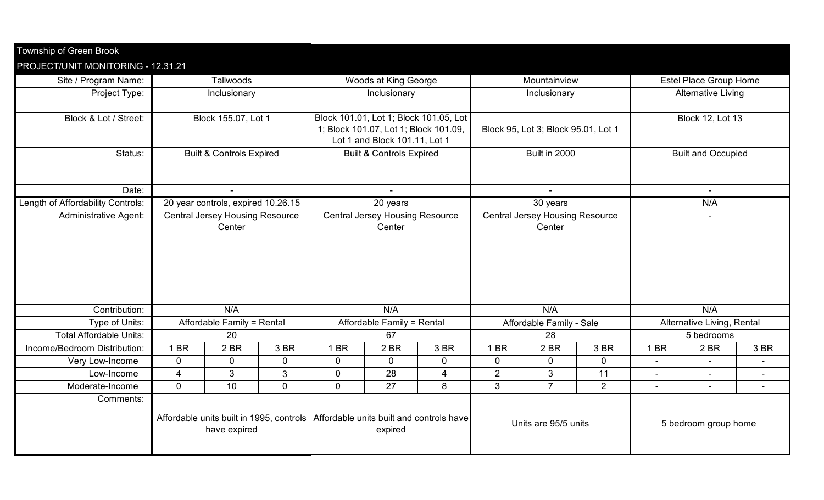| PROJECT/UNIT MONITORING - 12.31.21<br><b>Estel Place Group Home</b><br>Site / Program Name:<br>Tallwoods<br>Woods at King George<br>Mountainview<br>Project Type:<br>Inclusionary<br><b>Alternative Living</b><br>Inclusionary<br>Inclusionary<br>Block & Lot / Street:<br>Block 155.07, Lot 1<br>Block 101.01, Lot 1; Block 101.05, Lot<br><b>Block 12, Lot 13</b><br>1; Block 101.07, Lot 1; Block 101.09,<br>Block 95, Lot 3; Block 95.01, Lot 1<br>Lot 1 and Block 101.11, Lot 1<br>Built in 2000<br><b>Built &amp; Controls Expired</b><br><b>Built &amp; Controls Expired</b><br><b>Built and Occupied</b><br>Status:<br>Date:<br>$\sim$<br>20 year controls, expired 10.26.15<br>20 years<br>30 years<br>N/A<br><b>Central Jersey Housing Resource</b><br><b>Central Jersey Housing Resource</b><br><b>Central Jersey Housing Resource</b><br><b>Administrative Agent:</b><br>$\blacksquare$<br>Center<br>Center<br>Center<br>N/A<br>N/A<br>N/A<br>N/A<br>Contribution:<br>Affordable Family - Sale<br>Type of Units:<br>Affordable Family = Rental<br>Affordable Family = Rental<br>Alternative Living, Rental<br><b>Total Affordable Units:</b><br>20<br>67<br>28<br>5 bedrooms<br>Income/Bedroom Distribution:<br>1 BR<br>2BR<br>3 BR<br>1 BR<br>2BR<br>3 BR<br>1 BR<br>2 BR<br>3 BR<br>1 BR<br>2 BR<br>3 BR<br>$\overline{0}$<br>$\mathbf 0$<br>$\mathbf 0$<br>$\mathbf 0$<br>$\overline{0}$<br>0<br>$\mathbf 0$<br>$\mathbf 0$<br>$\mathbf 0$<br>Very Low-Income<br>$\mathbf{3}$<br>$\mathbf 0$<br>$\overline{2}$<br>3<br>11<br>$\overline{4}$<br>3<br>28<br>4<br>Low-Income<br>$\blacksquare$<br>$\blacksquare$<br>$\overline{7}$<br>$\overline{0}$<br>10<br>$\overline{0}$<br>27<br>3<br>2<br>0<br>8<br>Moderate-Income<br>Comments:<br>Affordable units built in 1995, controls   Affordable units built and controls have<br>Units are 95/5 units<br>5 bedroom group home | Township of Green Brook           |              |  |  |         |  |  |  |  |  |  |  |  |  |
|-------------------------------------------------------------------------------------------------------------------------------------------------------------------------------------------------------------------------------------------------------------------------------------------------------------------------------------------------------------------------------------------------------------------------------------------------------------------------------------------------------------------------------------------------------------------------------------------------------------------------------------------------------------------------------------------------------------------------------------------------------------------------------------------------------------------------------------------------------------------------------------------------------------------------------------------------------------------------------------------------------------------------------------------------------------------------------------------------------------------------------------------------------------------------------------------------------------------------------------------------------------------------------------------------------------------------------------------------------------------------------------------------------------------------------------------------------------------------------------------------------------------------------------------------------------------------------------------------------------------------------------------------------------------------------------------------------------------------------------------------------------------------------------------------------------------------------------------------------------------------------------------|-----------------------------------|--------------|--|--|---------|--|--|--|--|--|--|--|--|--|
|                                                                                                                                                                                                                                                                                                                                                                                                                                                                                                                                                                                                                                                                                                                                                                                                                                                                                                                                                                                                                                                                                                                                                                                                                                                                                                                                                                                                                                                                                                                                                                                                                                                                                                                                                                                                                                                                                           |                                   |              |  |  |         |  |  |  |  |  |  |  |  |  |
|                                                                                                                                                                                                                                                                                                                                                                                                                                                                                                                                                                                                                                                                                                                                                                                                                                                                                                                                                                                                                                                                                                                                                                                                                                                                                                                                                                                                                                                                                                                                                                                                                                                                                                                                                                                                                                                                                           |                                   |              |  |  |         |  |  |  |  |  |  |  |  |  |
|                                                                                                                                                                                                                                                                                                                                                                                                                                                                                                                                                                                                                                                                                                                                                                                                                                                                                                                                                                                                                                                                                                                                                                                                                                                                                                                                                                                                                                                                                                                                                                                                                                                                                                                                                                                                                                                                                           |                                   |              |  |  |         |  |  |  |  |  |  |  |  |  |
|                                                                                                                                                                                                                                                                                                                                                                                                                                                                                                                                                                                                                                                                                                                                                                                                                                                                                                                                                                                                                                                                                                                                                                                                                                                                                                                                                                                                                                                                                                                                                                                                                                                                                                                                                                                                                                                                                           |                                   |              |  |  |         |  |  |  |  |  |  |  |  |  |
|                                                                                                                                                                                                                                                                                                                                                                                                                                                                                                                                                                                                                                                                                                                                                                                                                                                                                                                                                                                                                                                                                                                                                                                                                                                                                                                                                                                                                                                                                                                                                                                                                                                                                                                                                                                                                                                                                           |                                   |              |  |  |         |  |  |  |  |  |  |  |  |  |
|                                                                                                                                                                                                                                                                                                                                                                                                                                                                                                                                                                                                                                                                                                                                                                                                                                                                                                                                                                                                                                                                                                                                                                                                                                                                                                                                                                                                                                                                                                                                                                                                                                                                                                                                                                                                                                                                                           |                                   |              |  |  |         |  |  |  |  |  |  |  |  |  |
|                                                                                                                                                                                                                                                                                                                                                                                                                                                                                                                                                                                                                                                                                                                                                                                                                                                                                                                                                                                                                                                                                                                                                                                                                                                                                                                                                                                                                                                                                                                                                                                                                                                                                                                                                                                                                                                                                           |                                   |              |  |  |         |  |  |  |  |  |  |  |  |  |
|                                                                                                                                                                                                                                                                                                                                                                                                                                                                                                                                                                                                                                                                                                                                                                                                                                                                                                                                                                                                                                                                                                                                                                                                                                                                                                                                                                                                                                                                                                                                                                                                                                                                                                                                                                                                                                                                                           |                                   |              |  |  |         |  |  |  |  |  |  |  |  |  |
|                                                                                                                                                                                                                                                                                                                                                                                                                                                                                                                                                                                                                                                                                                                                                                                                                                                                                                                                                                                                                                                                                                                                                                                                                                                                                                                                                                                                                                                                                                                                                                                                                                                                                                                                                                                                                                                                                           |                                   |              |  |  |         |  |  |  |  |  |  |  |  |  |
|                                                                                                                                                                                                                                                                                                                                                                                                                                                                                                                                                                                                                                                                                                                                                                                                                                                                                                                                                                                                                                                                                                                                                                                                                                                                                                                                                                                                                                                                                                                                                                                                                                                                                                                                                                                                                                                                                           |                                   |              |  |  |         |  |  |  |  |  |  |  |  |  |
|                                                                                                                                                                                                                                                                                                                                                                                                                                                                                                                                                                                                                                                                                                                                                                                                                                                                                                                                                                                                                                                                                                                                                                                                                                                                                                                                                                                                                                                                                                                                                                                                                                                                                                                                                                                                                                                                                           | Length of Affordability Controls: |              |  |  |         |  |  |  |  |  |  |  |  |  |
|                                                                                                                                                                                                                                                                                                                                                                                                                                                                                                                                                                                                                                                                                                                                                                                                                                                                                                                                                                                                                                                                                                                                                                                                                                                                                                                                                                                                                                                                                                                                                                                                                                                                                                                                                                                                                                                                                           |                                   |              |  |  |         |  |  |  |  |  |  |  |  |  |
|                                                                                                                                                                                                                                                                                                                                                                                                                                                                                                                                                                                                                                                                                                                                                                                                                                                                                                                                                                                                                                                                                                                                                                                                                                                                                                                                                                                                                                                                                                                                                                                                                                                                                                                                                                                                                                                                                           |                                   |              |  |  |         |  |  |  |  |  |  |  |  |  |
|                                                                                                                                                                                                                                                                                                                                                                                                                                                                                                                                                                                                                                                                                                                                                                                                                                                                                                                                                                                                                                                                                                                                                                                                                                                                                                                                                                                                                                                                                                                                                                                                                                                                                                                                                                                                                                                                                           |                                   |              |  |  |         |  |  |  |  |  |  |  |  |  |
|                                                                                                                                                                                                                                                                                                                                                                                                                                                                                                                                                                                                                                                                                                                                                                                                                                                                                                                                                                                                                                                                                                                                                                                                                                                                                                                                                                                                                                                                                                                                                                                                                                                                                                                                                                                                                                                                                           |                                   |              |  |  |         |  |  |  |  |  |  |  |  |  |
|                                                                                                                                                                                                                                                                                                                                                                                                                                                                                                                                                                                                                                                                                                                                                                                                                                                                                                                                                                                                                                                                                                                                                                                                                                                                                                                                                                                                                                                                                                                                                                                                                                                                                                                                                                                                                                                                                           |                                   |              |  |  |         |  |  |  |  |  |  |  |  |  |
|                                                                                                                                                                                                                                                                                                                                                                                                                                                                                                                                                                                                                                                                                                                                                                                                                                                                                                                                                                                                                                                                                                                                                                                                                                                                                                                                                                                                                                                                                                                                                                                                                                                                                                                                                                                                                                                                                           |                                   |              |  |  |         |  |  |  |  |  |  |  |  |  |
|                                                                                                                                                                                                                                                                                                                                                                                                                                                                                                                                                                                                                                                                                                                                                                                                                                                                                                                                                                                                                                                                                                                                                                                                                                                                                                                                                                                                                                                                                                                                                                                                                                                                                                                                                                                                                                                                                           |                                   |              |  |  |         |  |  |  |  |  |  |  |  |  |
|                                                                                                                                                                                                                                                                                                                                                                                                                                                                                                                                                                                                                                                                                                                                                                                                                                                                                                                                                                                                                                                                                                                                                                                                                                                                                                                                                                                                                                                                                                                                                                                                                                                                                                                                                                                                                                                                                           |                                   |              |  |  |         |  |  |  |  |  |  |  |  |  |
|                                                                                                                                                                                                                                                                                                                                                                                                                                                                                                                                                                                                                                                                                                                                                                                                                                                                                                                                                                                                                                                                                                                                                                                                                                                                                                                                                                                                                                                                                                                                                                                                                                                                                                                                                                                                                                                                                           |                                   |              |  |  |         |  |  |  |  |  |  |  |  |  |
|                                                                                                                                                                                                                                                                                                                                                                                                                                                                                                                                                                                                                                                                                                                                                                                                                                                                                                                                                                                                                                                                                                                                                                                                                                                                                                                                                                                                                                                                                                                                                                                                                                                                                                                                                                                                                                                                                           |                                   |              |  |  |         |  |  |  |  |  |  |  |  |  |
|                                                                                                                                                                                                                                                                                                                                                                                                                                                                                                                                                                                                                                                                                                                                                                                                                                                                                                                                                                                                                                                                                                                                                                                                                                                                                                                                                                                                                                                                                                                                                                                                                                                                                                                                                                                                                                                                                           |                                   |              |  |  |         |  |  |  |  |  |  |  |  |  |
|                                                                                                                                                                                                                                                                                                                                                                                                                                                                                                                                                                                                                                                                                                                                                                                                                                                                                                                                                                                                                                                                                                                                                                                                                                                                                                                                                                                                                                                                                                                                                                                                                                                                                                                                                                                                                                                                                           |                                   |              |  |  |         |  |  |  |  |  |  |  |  |  |
|                                                                                                                                                                                                                                                                                                                                                                                                                                                                                                                                                                                                                                                                                                                                                                                                                                                                                                                                                                                                                                                                                                                                                                                                                                                                                                                                                                                                                                                                                                                                                                                                                                                                                                                                                                                                                                                                                           |                                   |              |  |  |         |  |  |  |  |  |  |  |  |  |
|                                                                                                                                                                                                                                                                                                                                                                                                                                                                                                                                                                                                                                                                                                                                                                                                                                                                                                                                                                                                                                                                                                                                                                                                                                                                                                                                                                                                                                                                                                                                                                                                                                                                                                                                                                                                                                                                                           |                                   |              |  |  |         |  |  |  |  |  |  |  |  |  |
|                                                                                                                                                                                                                                                                                                                                                                                                                                                                                                                                                                                                                                                                                                                                                                                                                                                                                                                                                                                                                                                                                                                                                                                                                                                                                                                                                                                                                                                                                                                                                                                                                                                                                                                                                                                                                                                                                           |                                   |              |  |  |         |  |  |  |  |  |  |  |  |  |
|                                                                                                                                                                                                                                                                                                                                                                                                                                                                                                                                                                                                                                                                                                                                                                                                                                                                                                                                                                                                                                                                                                                                                                                                                                                                                                                                                                                                                                                                                                                                                                                                                                                                                                                                                                                                                                                                                           |                                   |              |  |  |         |  |  |  |  |  |  |  |  |  |
|                                                                                                                                                                                                                                                                                                                                                                                                                                                                                                                                                                                                                                                                                                                                                                                                                                                                                                                                                                                                                                                                                                                                                                                                                                                                                                                                                                                                                                                                                                                                                                                                                                                                                                                                                                                                                                                                                           |                                   | have expired |  |  | expired |  |  |  |  |  |  |  |  |  |
|                                                                                                                                                                                                                                                                                                                                                                                                                                                                                                                                                                                                                                                                                                                                                                                                                                                                                                                                                                                                                                                                                                                                                                                                                                                                                                                                                                                                                                                                                                                                                                                                                                                                                                                                                                                                                                                                                           |                                   |              |  |  |         |  |  |  |  |  |  |  |  |  |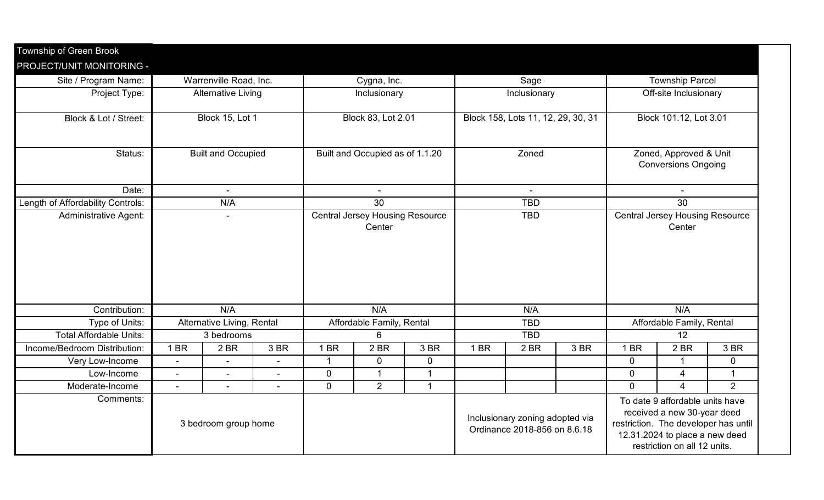| Township of Green Brook           |                           |                            |                |                                                  |                                 |              |                                    |                                                                 |      |                                                                                                                                                                          |                |              |  |
|-----------------------------------|---------------------------|----------------------------|----------------|--------------------------------------------------|---------------------------------|--------------|------------------------------------|-----------------------------------------------------------------|------|--------------------------------------------------------------------------------------------------------------------------------------------------------------------------|----------------|--------------|--|
| PROJECT/UNIT MONITORING -         |                           |                            |                |                                                  |                                 |              |                                    |                                                                 |      |                                                                                                                                                                          |                |              |  |
| Site / Program Name:              |                           | Warrenville Road, Inc.     |                | Cygna, Inc.                                      |                                 |              | Sage                               |                                                                 |      | <b>Township Parcel</b>                                                                                                                                                   |                |              |  |
| Project Type:                     |                           | <b>Alternative Living</b>  |                | Inclusionary                                     |                                 |              | Inclusionary                       |                                                                 |      | Off-site Inclusionary                                                                                                                                                    |                |              |  |
| Block & Lot / Street:             |                           | Block 15, Lot 1            |                | <b>Block 83, Lot 2.01</b>                        |                                 |              | Block 158, Lots 11, 12, 29, 30, 31 |                                                                 |      | Block 101.12, Lot 3.01                                                                                                                                                   |                |              |  |
| Status:                           | <b>Built and Occupied</b> |                            |                |                                                  | Built and Occupied as of 1.1.20 |              | Zoned                              |                                                                 |      | Zoned, Approved & Unit<br><b>Conversions Ongoing</b>                                                                                                                     |                |              |  |
| Date:                             | ÷.                        |                            |                |                                                  |                                 |              |                                    |                                                                 |      | $\sim$                                                                                                                                                                   |                |              |  |
| Length of Affordability Controls: | N/A                       |                            |                | $\overline{30}$                                  |                                 |              | <b>TBD</b>                         |                                                                 |      | 30                                                                                                                                                                       |                |              |  |
| <b>Administrative Agent:</b>      |                           | $\overline{\phantom{0}}$   |                | <b>Central Jersey Housing Resource</b><br>Center |                                 |              | <b>TBD</b>                         |                                                                 |      | <b>Central Jersey Housing Resource</b><br>Center                                                                                                                         |                |              |  |
| Contribution:                     | N/A                       |                            |                | N/A                                              |                                 |              | N/A                                |                                                                 |      | N/A                                                                                                                                                                      |                |              |  |
| Type of Units:                    |                           | Alternative Living, Rental |                | Affordable Family, Rental                        |                                 |              | <b>TBD</b>                         |                                                                 |      | Affordable Family, Rental                                                                                                                                                |                |              |  |
| <b>Total Affordable Units:</b>    |                           | 3 bedrooms                 |                | 6                                                |                                 |              | <b>TBD</b>                         |                                                                 |      | 12                                                                                                                                                                       |                |              |  |
| Income/Bedroom Distribution:      | 1 BR                      | 2 BR                       | 3 BR           | 1 BR                                             | 2 BR                            | 3 BR         | 1 BR                               | 2 BR                                                            | 3 BR | 1 BR                                                                                                                                                                     | 2 BR           | 3 BR         |  |
| Very Low-Income                   | $\blacksquare$            | $\blacksquare$             | $\sim$         | $\mathbf 1$                                      | $\mathbf 0$                     | $\mathbf 0$  |                                    |                                                                 |      | $\mathbf 0$                                                                                                                                                              | $\mathbf{1}$   | $\mathbf 0$  |  |
| Low-Income                        | $\blacksquare$            | $\blacksquare$             | $\overline{a}$ | $\overline{0}$                                   | $\overline{1}$                  | $\mathbf{1}$ |                                    |                                                                 |      | $\mathbf 0$                                                                                                                                                              | 4              | $\mathbf{1}$ |  |
| Moderate-Income                   | $\blacksquare$            | $\blacksquare$             | $\blacksquare$ | $\overline{0}$                                   | $\overline{2}$                  | $\mathbf{1}$ |                                    |                                                                 |      | $\mathbf 0$                                                                                                                                                              | $\overline{4}$ | 2            |  |
| Comments:                         |                           | 3 bedroom group home       |                |                                                  |                                 |              |                                    | Inclusionary zoning adopted via<br>Ordinance 2018-856 on 8.6.18 |      | To date 9 affordable units have<br>received a new 30-year deed<br>restriction. The developer has until<br>12.31.2024 to place a new deed<br>restriction on all 12 units. |                |              |  |